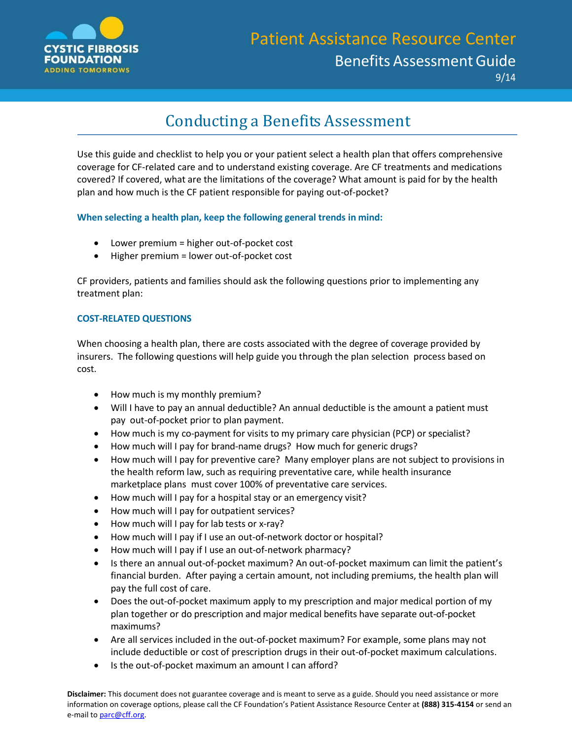

## Conducting a Benefits Assessment

Use this guide and checklist to help you or your patient select a health plan that offers comprehensive coverage for CF-related care and to understand existing coverage. Are CF treatments and medications covered? If covered, what are the limitations of the coverage? What amount is paid for by the health plan and how much is the CF patient responsible for paying out-of-pocket?

**When selecting a health plan, keep the following general trends in mind:**

- Lower premium = higher out-of-pocket cost
- Higher premium = lower out-of-pocket cost

CF providers, patients and families should ask the following questions prior to implementing any treatment plan:

## **COST-RELATED QUESTIONS**

When choosing a health plan, there are costs associated with the degree of coverage provided by insurers. The following questions will help guide you through the plan selection process based on cost.

- How much is my monthly premium?
- Will I have to pay an annual deductible? An annual deductible is the amount a patient must pay out-of-pocket prior to plan payment.
- How much is my co-payment for visits to my primary care physician (PCP) or specialist?
- How much will I pay for brand-name drugs? How much for generic drugs?
- How much will I pay for preventive care? Many employer plans are not subject to provisions in the health reform law, such as requiring preventative care, while health insurance marketplace plans must cover 100% of preventative care services.
- How much will I pay for a hospital stay or an emergency visit?
- How much will I pay for outpatient services?
- How much will I pay for lab tests or x-ray?
- How much will I pay if I use an out-of-network doctor or hospital?
- How much will I pay if I use an out-of-network pharmacy?
- Is there an annual out-of-pocket maximum? An out-of-pocket maximum can limit the patient's financial burden. After paying a certain amount, not including premiums, the health plan will pay the full cost of care.
- Does the out-of-pocket maximum apply to my prescription and major medical portion of my plan together or do prescription and major medical benefits have separate out-of-pocket maximums?
- Are all services included in the out-of-pocket maximum? For example, some plans may not include deductible or cost of prescription drugs in their out-of-pocket maximum calculations.
- Is the out-of-pocket maximum an amount I can afford?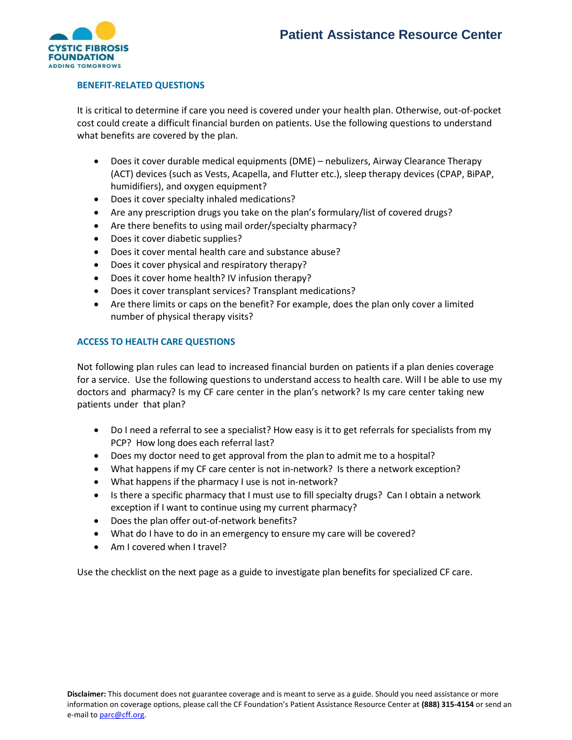

## **BENEFIT-RELATED QUESTIONS**

It is critical to determine if care you need is covered under your health plan. Otherwise, out-of-pocket cost could create a difficult financial burden on patients. Use the following questions to understand what benefits are covered by the plan.

- Does it cover durable medical equipments (DME) nebulizers, Airway Clearance Therapy (ACT) devices (such as Vests, Acapella, and Flutter etc.), sleep therapy devices (CPAP, BiPAP, humidifiers), and oxygen equipment?
- Does it cover specialty inhaled medications?
- Are any prescription drugs you take on the plan's formulary/list of covered drugs?
- Are there benefits to using mail order/specialty pharmacy?
- Does it cover diabetic supplies?
- Does it cover mental health care and substance abuse?
- Does it cover physical and respiratory therapy?
- Does it cover home health? IV infusion therapy?
- Does it cover transplant services? Transplant medications?
- Are there limits or caps on the benefit? For example, does the plan only cover a limited number of physical therapy visits?

## **ACCESS TO HEALTH CARE QUESTIONS**

Not following plan rules can lead to increased financial burden on patients if a plan denies coverage for a service. Use the following questions to understand access to health care. Will I be able to use my doctors and pharmacy? Is my CF care center in the plan's network? Is my care center taking new patients under that plan?

- Do I need a referral to see a specialist? How easy is it to get referrals for specialists from my PCP? How long does each referral last?
- Does my doctor need to get approval from the plan to admit me to a hospital?
- What happens if my CF care center is not in-network? Is there a network exception?
- What happens if the pharmacy I use is not in-network?
- Is there a specific pharmacy that I must use to fill specialty drugs? Can I obtain a network exception if I want to continue using my current pharmacy?
- Does the plan offer out-of-network benefits?
- What do I have to do in an emergency to ensure my care will be covered?
- Am I covered when I travel?

Use the checklist on the next page as a guide to investigate plan benefits for specialized CF care.